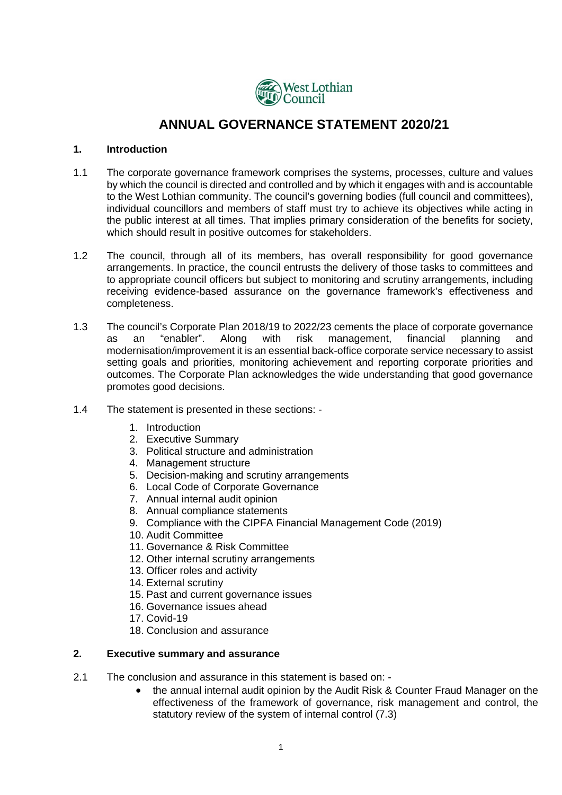

# **ANNUAL GOVERNANCE STATEMENT 2020/21**

### **1. Introduction**

- 1.1 The corporate governance framework comprises the systems, processes, culture and values by which the council is directed and controlled and by which it engages with and is accountable to the West Lothian community. The council's governing bodies (full council and committees), individual councillors and members of staff must try to achieve its objectives while acting in the public interest at all times. That implies primary consideration of the benefits for society, which should result in positive outcomes for stakeholders.
- 1.2 The council, through all of its members, has overall responsibility for good governance arrangements. In practice, the council entrusts the delivery of those tasks to committees and to appropriate council officers but subject to monitoring and scrutiny arrangements, including receiving evidence-based assurance on the governance framework's effectiveness and completeness.
- 1.3 The council's Corporate Plan 2018/19 to 2022/23 cements the place of corporate governance as an "enabler". Along with risk management, financial planning and modernisation/improvement it is an essential back-office corporate service necessary to assist setting goals and priorities, monitoring achievement and reporting corporate priorities and outcomes. The Corporate Plan acknowledges the wide understanding that good governance promotes good decisions.
- 1.4 The statement is presented in these sections:
	- 1. Introduction
	- 2. Executive Summary
	- 3. Political structure and administration
	- 4. Management structure
	- 5. Decision-making and scrutiny arrangements
	- 6. Local Code of Corporate Governance
	- 7. Annual internal audit opinion
	- 8. Annual compliance statements
	- 9. Compliance with the CIPFA Financial Management Code (2019)
	- 10. Audit Committee
	- 11. Governance & Risk Committee
	- 12. Other internal scrutiny arrangements
	- 13. Officer roles and activity
	- 14. External scrutiny
	- 15. Past and current governance issues
	- 16. Governance issues ahead
	- 17. Covid-19
	- 18. Conclusion and assurance

# **2. Executive summary and assurance**

- 2.1 The conclusion and assurance in this statement is based on:
	- the annual internal audit opinion by the Audit Risk & Counter Fraud Manager on the effectiveness of the framework of governance, risk management and control, the statutory review of the system of internal control (7.3)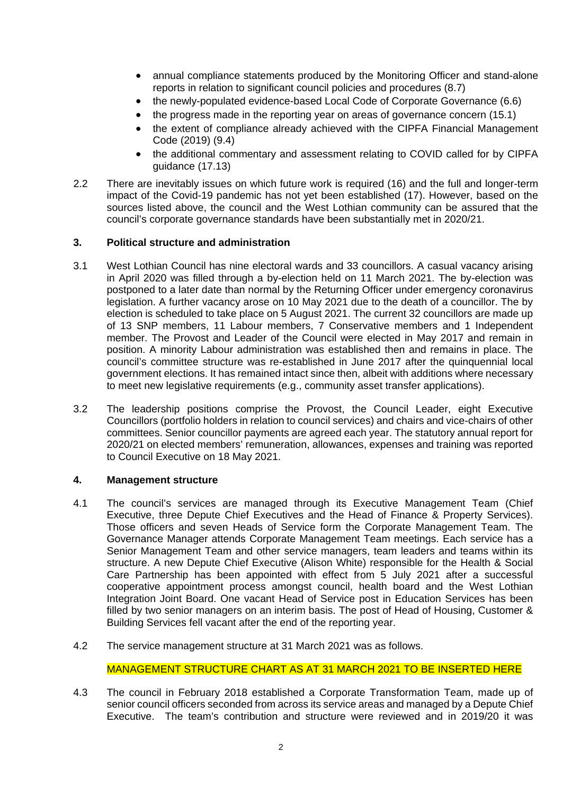- annual compliance statements produced by the Monitoring Officer and stand-alone reports in relation to significant council policies and procedures (8.7)
- the newly-populated evidence-based Local Code of Corporate Governance (6.6)
- the progress made in the reporting year on areas of governance concern (15.1)
- the extent of compliance already achieved with the CIPFA Financial Management Code (2019) (9.4)
- the additional commentary and assessment relating to COVID called for by CIPFA guidance (17.13)
- 2.2 There are inevitably issues on which future work is required (16) and the full and longer-term impact of the Covid-19 pandemic has not yet been established (17). However, based on the sources listed above, the council and the West Lothian community can be assured that the council's corporate governance standards have been substantially met in 2020/21.

# **3. Political structure and administration**

- 3.1 West Lothian Council has nine electoral wards and 33 councillors. A casual vacancy arising in April 2020 was filled through a by-election held on 11 March 2021. The by-election was postponed to a later date than normal by the Returning Officer under emergency coronavirus legislation. A further vacancy arose on 10 May 2021 due to the death of a councillor. The by election is scheduled to take place on 5 August 2021. The current 32 councillors are made up of 13 SNP members, 11 Labour members, 7 Conservative members and 1 Independent member. The Provost and Leader of the Council were elected in May 2017 and remain in position. A minority Labour administration was established then and remains in place. The council's committee structure was re-established in June 2017 after the quinquennial local government elections. It has remained intact since then, albeit with additions where necessary to meet new legislative requirements (e.g., community asset transfer applications).
- 3.2 The leadership positions comprise the Provost, the Council Leader, eight Executive Councillors (portfolio holders in relation to council services) and chairs and vice-chairs of other committees. Senior councillor payments are agreed each year. The statutory annual report for 2020/21 on elected members' remuneration, allowances, expenses and training was reported to Council Executive on 18 May 2021.

# **4. Management structure**

- 4.1 The council's services are managed through its Executive Management Team (Chief Executive, three Depute Chief Executives and the Head of Finance & Property Services). Those officers and seven Heads of Service form the Corporate Management Team. The Governance Manager attends Corporate Management Team meetings. Each service has a Senior Management Team and other service managers, team leaders and teams within its structure. A new Depute Chief Executive (Alison White) responsible for the Health & Social Care Partnership has been appointed with effect from 5 July 2021 after a successful cooperative appointment process amongst council, health board and the West Lothian Integration Joint Board. One vacant Head of Service post in Education Services has been filled by two senior managers on an interim basis. The post of Head of Housing, Customer & Building Services fell vacant after the end of the reporting year.
- 4.2 The service management structure at 31 March 2021 was as follows.

# MANAGEMENT STRUCTURE CHART AS AT 31 MARCH 2021 TO BE INSERTED HERE

4.3 The council in February 2018 established a Corporate Transformation Team, made up of senior council officers seconded from across its service areas and managed by a Depute Chief Executive. The team's contribution and structure were reviewed and in 2019/20 it was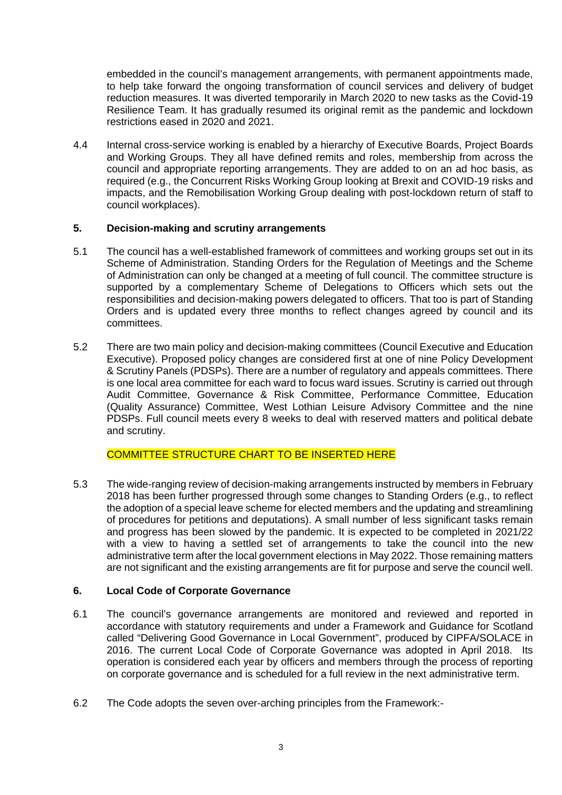embedded in the council's management arrangements, with permanent appointments made, to help take forward the ongoing transformation of council services and delivery of budget reduction measures. It was diverted temporarily in March 2020 to new tasks as the Covid-19 Resilience Team. It has gradually resumed its original remit as the pandemic and lockdown restrictions eased in 2020 and 2021.

4.4 Internal cross-service working is enabled by a hierarchy of Executive Boards, Project Boards and Working Groups. They all have defined remits and roles, membership from across the council and appropriate reporting arrangements. They are added to on an ad hoc basis, as required (e.g., the Concurrent Risks Working Group looking at Brexit and COVID-19 risks and impacts, and the Remobilisation Working Group dealing with post-lockdown return of staff to council workplaces).

# **5. Decision-making and scrutiny arrangements**

- 5.1 The council has a well-established framework of committees and working groups set out in its Scheme of Administration. Standing Orders for the Regulation of Meetings and the Scheme of Administration can only be changed at a meeting of full council. The committee structure is supported by a complementary Scheme of Delegations to Officers which sets out the responsibilities and decision-making powers delegated to officers. That too is part of Standing Orders and is updated every three months to reflect changes agreed by council and its committees.
- 5.2 There are two main policy and decision-making committees (Council Executive and Education Executive). Proposed policy changes are considered first at one of nine Policy Development & Scrutiny Panels (PDSPs). There are a number of regulatory and appeals committees. There is one local area committee for each ward to focus ward issues. Scrutiny is carried out through Audit Committee, Governance & Risk Committee, Performance Committee, Education (Quality Assurance) Committee, West Lothian Leisure Advisory Committee and the nine PDSPs. Full council meets every 8 weeks to deal with reserved matters and political debate and scrutiny.

# COMMITTEE STRUCTURE CHART TO BE INSERTED HERE

5.3 The wide-ranging review of decision-making arrangements instructed by members in February 2018 has been further progressed through some changes to Standing Orders (e.g., to reflect the adoption of a special leave scheme for elected members and the updating and streamlining of procedures for petitions and deputations). A small number of less significant tasks remain and progress has been slowed by the pandemic. It is expected to be completed in 2021/22 with a view to having a settled set of arrangements to take the council into the new administrative term after the local government elections in May 2022. Those remaining matters are not significant and the existing arrangements are fit for purpose and serve the council well.

# **6. Local Code of Corporate Governance**

- 6.1 The council's governance arrangements are monitored and reviewed and reported in accordance with statutory requirements and under a Framework and Guidance for Scotland called "Delivering Good Governance in Local Government", produced by CIPFA/SOLACE in 2016. The current Local Code of Corporate Governance was adopted in April 2018. Its operation is considered each year by officers and members through the process of reporting on corporate governance and is scheduled for a full review in the next administrative term.
- 6.2 The Code adopts the seven over-arching principles from the Framework:-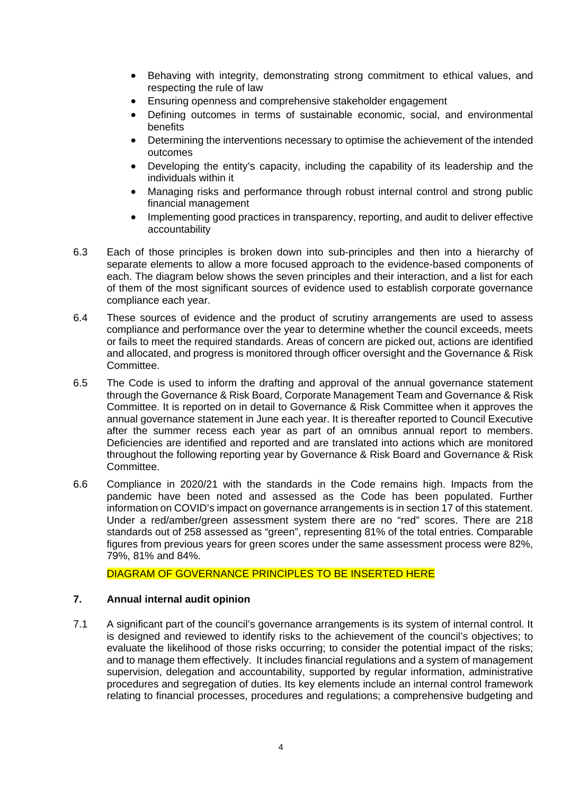- Behaving with integrity, demonstrating strong commitment to ethical values, and respecting the rule of law
- Ensuring openness and comprehensive stakeholder engagement
- Defining outcomes in terms of sustainable economic, social, and environmental benefits
- Determining the interventions necessary to optimise the achievement of the intended outcomes
- Developing the entity's capacity, including the capability of its leadership and the individuals within it
- Managing risks and performance through robust internal control and strong public financial management
- Implementing good practices in transparency, reporting, and audit to deliver effective accountability
- 6.3 Each of those principles is broken down into sub-principles and then into a hierarchy of separate elements to allow a more focused approach to the evidence-based components of each. The diagram below shows the seven principles and their interaction, and a list for each of them of the most significant sources of evidence used to establish corporate governance compliance each year.
- 6.4 These sources of evidence and the product of scrutiny arrangements are used to assess compliance and performance over the year to determine whether the council exceeds, meets or fails to meet the required standards. Areas of concern are picked out, actions are identified and allocated, and progress is monitored through officer oversight and the Governance & Risk Committee.
- 6.5 The Code is used to inform the drafting and approval of the annual governance statement through the Governance & Risk Board, Corporate Management Team and Governance & Risk Committee. It is reported on in detail to Governance & Risk Committee when it approves the annual governance statement in June each year. It is thereafter reported to Council Executive after the summer recess each year as part of an omnibus annual report to members. Deficiencies are identified and reported and are translated into actions which are monitored throughout the following reporting year by Governance & Risk Board and Governance & Risk Committee.
- 6.6 Compliance in 2020/21 with the standards in the Code remains high. Impacts from the pandemic have been noted and assessed as the Code has been populated. Further information on COVID's impact on governance arrangements is in section 17 of this statement. Under a red/amber/green assessment system there are no "red" scores. There are 218 standards out of 258 assessed as "green", representing 81% of the total entries. Comparable figures from previous years for green scores under the same assessment process were 82%, 79%, 81% and 84%.

DIAGRAM OF GOVERNANCE PRINCIPLES TO BE INSERTED HERE

# **7. Annual internal audit opinion**

7.1 A significant part of the council's governance arrangements is its system of internal control. It is designed and reviewed to identify risks to the achievement of the council's objectives; to evaluate the likelihood of those risks occurring; to consider the potential impact of the risks; and to manage them effectively. It includes financial regulations and a system of management supervision, delegation and accountability, supported by regular information, administrative procedures and segregation of duties. Its key elements include an internal control framework relating to financial processes, procedures and regulations; a comprehensive budgeting and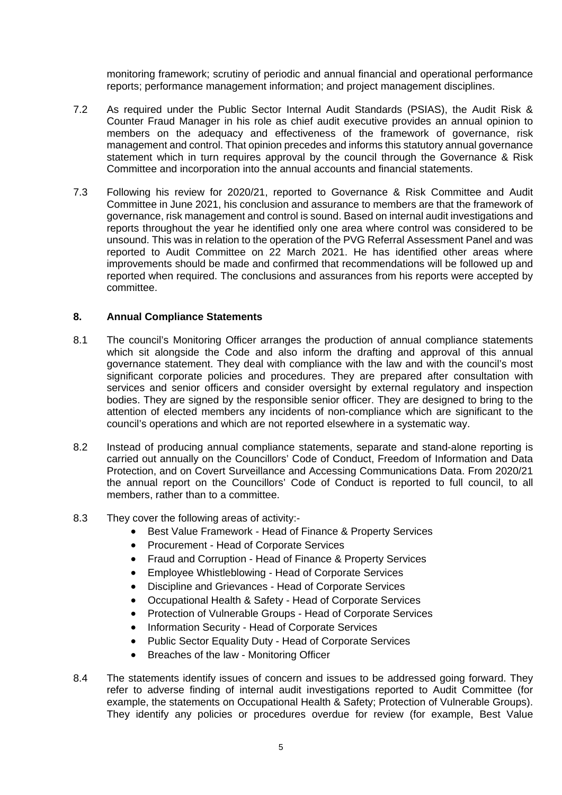monitoring framework; scrutiny of periodic and annual financial and operational performance reports; performance management information; and project management disciplines.

- 7.2 As required under the Public Sector Internal Audit Standards (PSIAS), the Audit Risk & Counter Fraud Manager in his role as chief audit executive provides an annual opinion to members on the adequacy and effectiveness of the framework of governance, risk management and control. That opinion precedes and informs this statutory annual governance statement which in turn requires approval by the council through the Governance & Risk Committee and incorporation into the annual accounts and financial statements.
- 7.3 Following his review for 2020/21, reported to Governance & Risk Committee and Audit Committee in June 2021, his conclusion and assurance to members are that the framework of governance, risk management and control is sound. Based on internal audit investigations and reports throughout the year he identified only one area where control was considered to be unsound. This was in relation to the operation of the PVG Referral Assessment Panel and was reported to Audit Committee on 22 March 2021. He has identified other areas where improvements should be made and confirmed that recommendations will be followed up and reported when required. The conclusions and assurances from his reports were accepted by committee.

# **8. Annual Compliance Statements**

- 8.1 The council's Monitoring Officer arranges the production of annual compliance statements which sit alongside the Code and also inform the drafting and approval of this annual governance statement. They deal with compliance with the law and with the council's most significant corporate policies and procedures. They are prepared after consultation with services and senior officers and consider oversight by external regulatory and inspection bodies. They are signed by the responsible senior officer. They are designed to bring to the attention of elected members any incidents of non-compliance which are significant to the council's operations and which are not reported elsewhere in a systematic way.
- 8.2 Instead of producing annual compliance statements, separate and stand-alone reporting is carried out annually on the Councillors' Code of Conduct, Freedom of Information and Data Protection, and on Covert Surveillance and Accessing Communications Data. From 2020/21 the annual report on the Councillors' Code of Conduct is reported to full council, to all members, rather than to a committee.
- 8.3 They cover the following areas of activity:-
	- Best Value Framework Head of Finance & Property Services
	- Procurement Head of Corporate Services
	- Fraud and Corruption Head of Finance & Property Services
	- Employee Whistleblowing Head of Corporate Services
	- Discipline and Grievances Head of Corporate Services
	- Occupational Health & Safety Head of Corporate Services
	- Protection of Vulnerable Groups Head of Corporate Services
	- Information Security Head of Corporate Services
	- Public Sector Equality Duty Head of Corporate Services
	- Breaches of the law Monitoring Officer
- 8.4 The statements identify issues of concern and issues to be addressed going forward. They refer to adverse finding of internal audit investigations reported to Audit Committee (for example, the statements on Occupational Health & Safety; Protection of Vulnerable Groups). They identify any policies or procedures overdue for review (for example, Best Value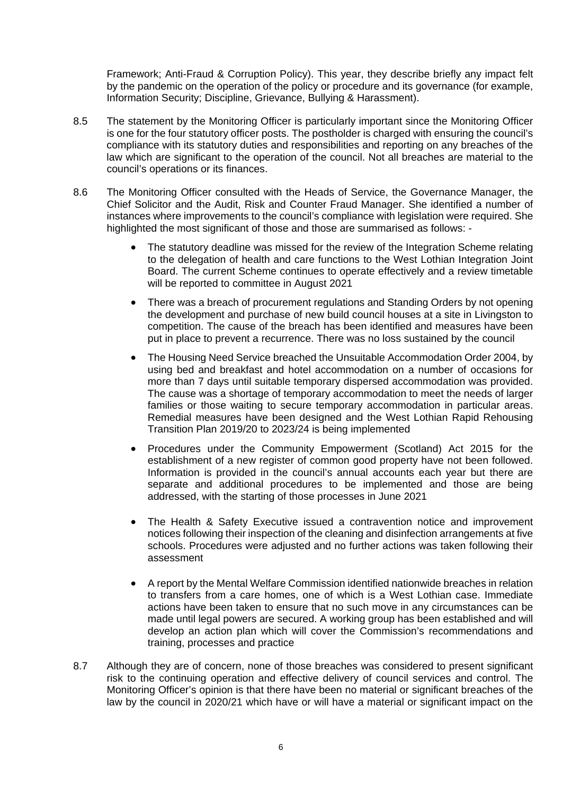Framework; Anti-Fraud & Corruption Policy). This year, they describe briefly any impact felt by the pandemic on the operation of the policy or procedure and its governance (for example, Information Security; Discipline, Grievance, Bullying & Harassment).

- 8.5 The statement by the Monitoring Officer is particularly important since the Monitoring Officer is one for the four statutory officer posts. The postholder is charged with ensuring the council's compliance with its statutory duties and responsibilities and reporting on any breaches of the law which are significant to the operation of the council. Not all breaches are material to the council's operations or its finances.
- 8.6 The Monitoring Officer consulted with the Heads of Service, the Governance Manager, the Chief Solicitor and the Audit, Risk and Counter Fraud Manager. She identified a number of instances where improvements to the council's compliance with legislation were required. She highlighted the most significant of those and those are summarised as follows: -
	- The statutory deadline was missed for the review of the Integration Scheme relating to the delegation of health and care functions to the West Lothian Integration Joint Board. The current Scheme continues to operate effectively and a review timetable will be reported to committee in August 2021
	- There was a breach of procurement regulations and Standing Orders by not opening the development and purchase of new build council houses at a site in Livingston to competition. The cause of the breach has been identified and measures have been put in place to prevent a recurrence. There was no loss sustained by the council
	- The Housing Need Service breached the Unsuitable Accommodation Order 2004, by using bed and breakfast and hotel accommodation on a number of occasions for more than 7 days until suitable temporary dispersed accommodation was provided. The cause was a shortage of temporary accommodation to meet the needs of larger families or those waiting to secure temporary accommodation in particular areas. Remedial measures have been designed and the West Lothian Rapid Rehousing Transition Plan 2019/20 to 2023/24 is being implemented
	- Procedures under the Community Empowerment (Scotland) Act 2015 for the establishment of a new register of common good property have not been followed. Information is provided in the council's annual accounts each year but there are separate and additional procedures to be implemented and those are being addressed, with the starting of those processes in June 2021
	- The Health & Safety Executive issued a contravention notice and improvement notices following their inspection of the cleaning and disinfection arrangements at five schools. Procedures were adjusted and no further actions was taken following their assessment
	- A report by the Mental Welfare Commission identified nationwide breaches in relation to transfers from a care homes, one of which is a West Lothian case. Immediate actions have been taken to ensure that no such move in any circumstances can be made until legal powers are secured. A working group has been established and will develop an action plan which will cover the Commission's recommendations and training, processes and practice
- 8.7 Although they are of concern, none of those breaches was considered to present significant risk to the continuing operation and effective delivery of council services and control. The Monitoring Officer's opinion is that there have been no material or significant breaches of the law by the council in 2020/21 which have or will have a material or significant impact on the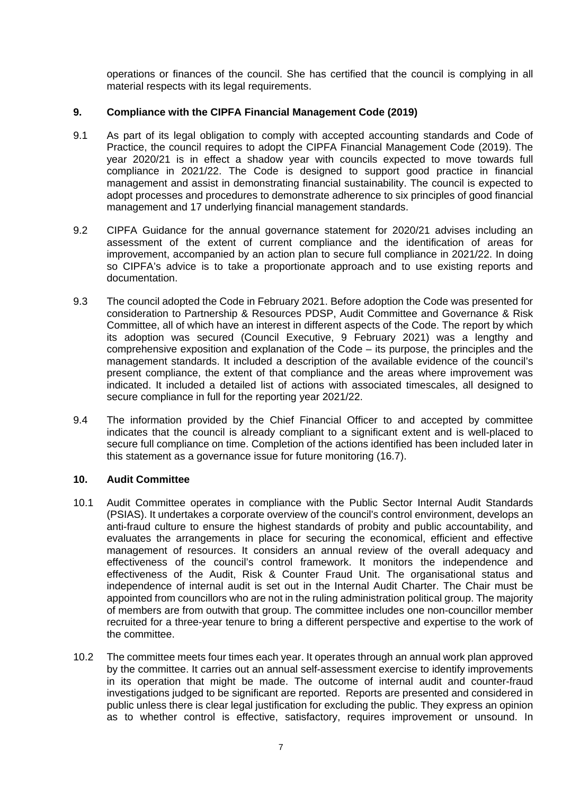operations or finances of the council. She has certified that the council is complying in all material respects with its legal requirements.

# **9. Compliance with the CIPFA Financial Management Code (2019)**

- 9.1 As part of its legal obligation to comply with accepted accounting standards and Code of Practice, the council requires to adopt the CIPFA Financial Management Code (2019). The year 2020/21 is in effect a shadow year with councils expected to move towards full compliance in 2021/22. The Code is designed to support good practice in financial management and assist in demonstrating financial sustainability. The council is expected to adopt processes and procedures to demonstrate adherence to six principles of good financial management and 17 underlying financial management standards.
- 9.2 CIPFA Guidance for the annual governance statement for 2020/21 advises including an assessment of the extent of current compliance and the identification of areas for improvement, accompanied by an action plan to secure full compliance in 2021/22. In doing so CIPFA's advice is to take a proportionate approach and to use existing reports and documentation.
- 9.3 The council adopted the Code in February 2021. Before adoption the Code was presented for consideration to Partnership & Resources PDSP, Audit Committee and Governance & Risk Committee, all of which have an interest in different aspects of the Code. The report by which its adoption was secured (Council Executive, 9 February 2021) was a lengthy and comprehensive exposition and explanation of the Code – its purpose, the principles and the management standards. It included a description of the available evidence of the council's present compliance, the extent of that compliance and the areas where improvement was indicated. It included a detailed list of actions with associated timescales, all designed to secure compliance in full for the reporting year 2021/22.
- 9.4 The information provided by the Chief Financial Officer to and accepted by committee indicates that the council is already compliant to a significant extent and is well-placed to secure full compliance on time. Completion of the actions identified has been included later in this statement as a governance issue for future monitoring (16.7).

# **10. Audit Committee**

- 10.1 Audit Committee operates in compliance with the Public Sector Internal Audit Standards (PSIAS). It undertakes a corporate overview of the council's control environment, develops an anti-fraud culture to ensure the highest standards of probity and public accountability, and evaluates the arrangements in place for securing the economical, efficient and effective management of resources. It considers an annual review of the overall adequacy and effectiveness of the council's control framework. It monitors the independence and effectiveness of the Audit, Risk & Counter Fraud Unit. The organisational status and independence of internal audit is set out in the Internal Audit Charter. The Chair must be appointed from councillors who are not in the ruling administration political group. The majority of members are from outwith that group. The committee includes one non-councillor member recruited for a three-year tenure to bring a different perspective and expertise to the work of the committee.
- 10.2 The committee meets four times each year. It operates through an annual work plan approved by the committee. It carries out an annual self-assessment exercise to identify improvements in its operation that might be made. The outcome of internal audit and counter-fraud investigations judged to be significant are reported. Reports are presented and considered in public unless there is clear legal justification for excluding the public. They express an opinion as to whether control is effective, satisfactory, requires improvement or unsound. In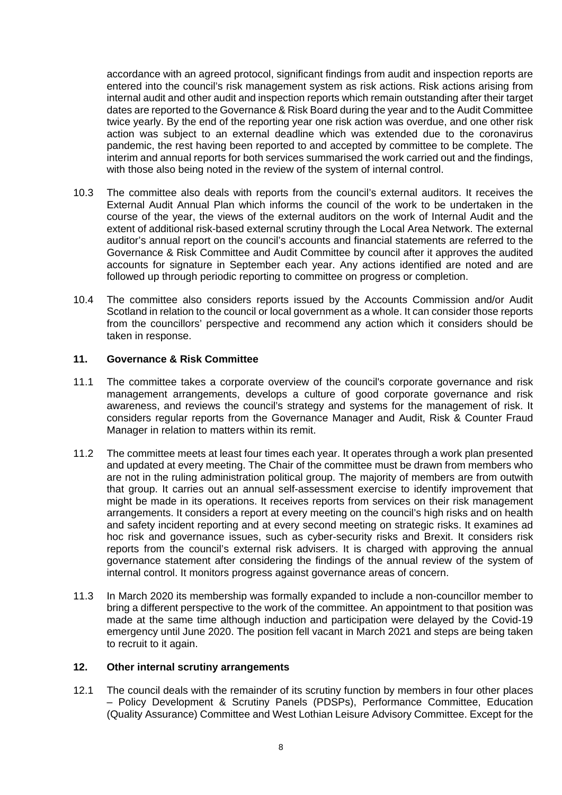accordance with an agreed protocol, significant findings from audit and inspection reports are entered into the council's risk management system as risk actions. Risk actions arising from internal audit and other audit and inspection reports which remain outstanding after their target dates are reported to the Governance & Risk Board during the year and to the Audit Committee twice yearly. By the end of the reporting year one risk action was overdue, and one other risk action was subject to an external deadline which was extended due to the coronavirus pandemic, the rest having been reported to and accepted by committee to be complete. The interim and annual reports for both services summarised the work carried out and the findings, with those also being noted in the review of the system of internal control.

- 10.3 The committee also deals with reports from the council's external auditors. It receives the External Audit Annual Plan which informs the council of the work to be undertaken in the course of the year, the views of the external auditors on the work of Internal Audit and the extent of additional risk-based external scrutiny through the Local Area Network. The external auditor's annual report on the council's accounts and financial statements are referred to the Governance & Risk Committee and Audit Committee by council after it approves the audited accounts for signature in September each year. Any actions identified are noted and are followed up through periodic reporting to committee on progress or completion.
- 10.4 The committee also considers reports issued by the Accounts Commission and/or Audit Scotland in relation to the council or local government as a whole. It can consider those reports from the councillors' perspective and recommend any action which it considers should be taken in response.

# **11. Governance & Risk Committee**

- 11.1 The committee takes a corporate overview of the council's corporate governance and risk management arrangements, develops a culture of good corporate governance and risk awareness, and reviews the council's strategy and systems for the management of risk. It considers regular reports from the Governance Manager and Audit, Risk & Counter Fraud Manager in relation to matters within its remit.
- 11.2 The committee meets at least four times each year. It operates through a work plan presented and updated at every meeting. The Chair of the committee must be drawn from members who are not in the ruling administration political group. The majority of members are from outwith that group. It carries out an annual self-assessment exercise to identify improvement that might be made in its operations. It receives reports from services on their risk management arrangements. It considers a report at every meeting on the council's high risks and on health and safety incident reporting and at every second meeting on strategic risks. It examines ad hoc risk and governance issues, such as cyber-security risks and Brexit. It considers risk reports from the council's external risk advisers. It is charged with approving the annual governance statement after considering the findings of the annual review of the system of internal control. It monitors progress against governance areas of concern.
- 11.3 In March 2020 its membership was formally expanded to include a non-councillor member to bring a different perspective to the work of the committee. An appointment to that position was made at the same time although induction and participation were delayed by the Covid-19 emergency until June 2020. The position fell vacant in March 2021 and steps are being taken to recruit to it again.

### **12. Other internal scrutiny arrangements**

12.1 The council deals with the remainder of its scrutiny function by members in four other places – Policy Development & Scrutiny Panels (PDSPs), Performance Committee, Education (Quality Assurance) Committee and West Lothian Leisure Advisory Committee. Except for the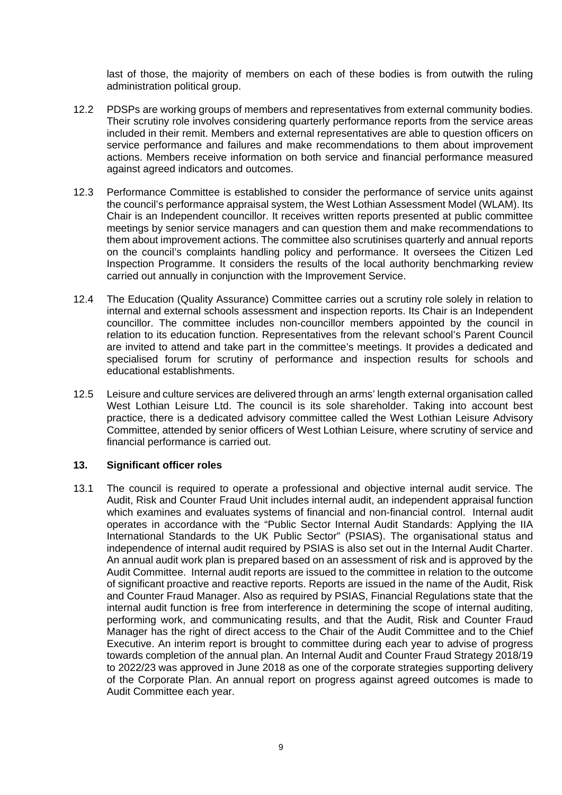last of those, the majority of members on each of these bodies is from outwith the ruling administration political group.

- 12.2 PDSPs are working groups of members and representatives from external community bodies. Their scrutiny role involves considering quarterly performance reports from the service areas included in their remit. Members and external representatives are able to question officers on service performance and failures and make recommendations to them about improvement actions. Members receive information on both service and financial performance measured against agreed indicators and outcomes.
- 12.3 Performance Committee is established to consider the performance of service units against the council's performance appraisal system, the West Lothian Assessment Model (WLAM). Its Chair is an Independent councillor. It receives written reports presented at public committee meetings by senior service managers and can question them and make recommendations to them about improvement actions. The committee also scrutinises quarterly and annual reports on the council's complaints handling policy and performance. It oversees the Citizen Led Inspection Programme. It considers the results of the local authority benchmarking review carried out annually in conjunction with the Improvement Service.
- 12.4 The Education (Quality Assurance) Committee carries out a scrutiny role solely in relation to internal and external schools assessment and inspection reports. Its Chair is an Independent councillor. The committee includes non-councillor members appointed by the council in relation to its education function. Representatives from the relevant school's Parent Council are invited to attend and take part in the committee's meetings. It provides a dedicated and specialised forum for scrutiny of performance and inspection results for schools and educational establishments.
- 12.5 Leisure and culture services are delivered through an arms' length external organisation called West Lothian Leisure Ltd. The council is its sole shareholder. Taking into account best practice, there is a dedicated advisory committee called the West Lothian Leisure Advisory Committee, attended by senior officers of West Lothian Leisure, where scrutiny of service and financial performance is carried out.

# **13. Significant officer roles**

13.1 The council is required to operate a professional and objective internal audit service. The Audit, Risk and Counter Fraud Unit includes internal audit, an independent appraisal function which examines and evaluates systems of financial and non-financial control. Internal audit operates in accordance with the "Public Sector Internal Audit Standards: Applying the IIA International Standards to the UK Public Sector" (PSIAS). The organisational status and independence of internal audit required by PSIAS is also set out in the Internal Audit Charter. An annual audit work plan is prepared based on an assessment of risk and is approved by the Audit Committee. Internal audit reports are issued to the committee in relation to the outcome of significant proactive and reactive reports. Reports are issued in the name of the Audit, Risk and Counter Fraud Manager. Also as required by PSIAS, Financial Regulations state that the internal audit function is free from interference in determining the scope of internal auditing, performing work, and communicating results, and that the Audit, Risk and Counter Fraud Manager has the right of direct access to the Chair of the Audit Committee and to the Chief Executive. An interim report is brought to committee during each year to advise of progress towards completion of the annual plan. An Internal Audit and Counter Fraud Strategy 2018/19 to 2022/23 was approved in June 2018 as one of the corporate strategies supporting delivery of the Corporate Plan. An annual report on progress against agreed outcomes is made to Audit Committee each year.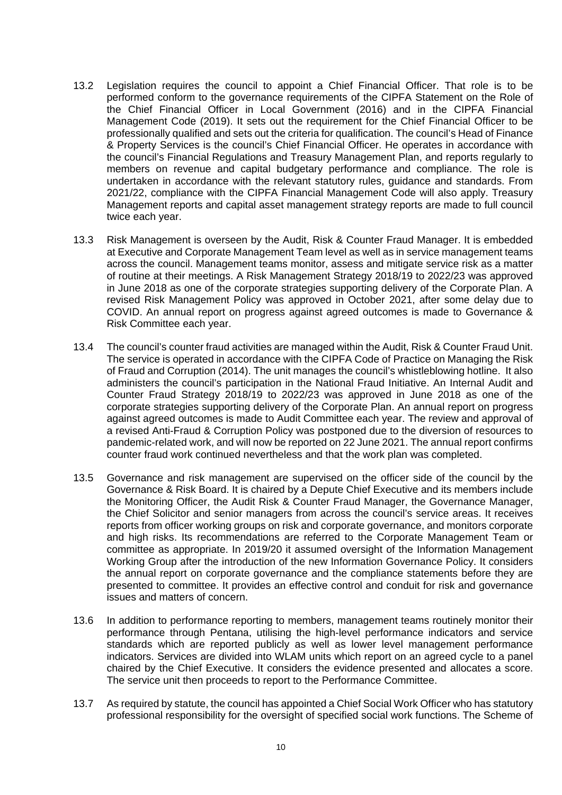- 13.2 Legislation requires the council to appoint a Chief Financial Officer. That role is to be performed conform to the governance requirements of the CIPFA Statement on the Role of the Chief Financial Officer in Local Government (2016) and in the CIPFA Financial Management Code (2019). It sets out the requirement for the Chief Financial Officer to be professionally qualified and sets out the criteria for qualification. The council's Head of Finance & Property Services is the council's Chief Financial Officer. He operates in accordance with the council's Financial Regulations and Treasury Management Plan, and reports regularly to members on revenue and capital budgetary performance and compliance. The role is undertaken in accordance with the relevant statutory rules, guidance and standards. From 2021/22, compliance with the CIPFA Financial Management Code will also apply. Treasury Management reports and capital asset management strategy reports are made to full council twice each year.
- 13.3 Risk Management is overseen by the Audit, Risk & Counter Fraud Manager. It is embedded at Executive and Corporate Management Team level as well as in service management teams across the council. Management teams monitor, assess and mitigate service risk as a matter of routine at their meetings. A Risk Management Strategy 2018/19 to 2022/23 was approved in June 2018 as one of the corporate strategies supporting delivery of the Corporate Plan. A revised Risk Management Policy was approved in October 2021, after some delay due to COVID. An annual report on progress against agreed outcomes is made to Governance & Risk Committee each year.
- 13.4 The council's counter fraud activities are managed within the Audit, Risk & Counter Fraud Unit. The service is operated in accordance with the CIPFA Code of Practice on Managing the Risk of Fraud and Corruption (2014). The unit manages the council's whistleblowing hotline. It also administers the council's participation in the National Fraud Initiative. An Internal Audit and Counter Fraud Strategy 2018/19 to 2022/23 was approved in June 2018 as one of the corporate strategies supporting delivery of the Corporate Plan. An annual report on progress against agreed outcomes is made to Audit Committee each year. The review and approval of a revised Anti-Fraud & Corruption Policy was postponed due to the diversion of resources to pandemic-related work, and will now be reported on 22 June 2021. The annual report confirms counter fraud work continued nevertheless and that the work plan was completed.
- 13.5 Governance and risk management are supervised on the officer side of the council by the Governance & Risk Board. It is chaired by a Depute Chief Executive and its members include the Monitoring Officer, the Audit Risk & Counter Fraud Manager, the Governance Manager, the Chief Solicitor and senior managers from across the council's service areas. It receives reports from officer working groups on risk and corporate governance, and monitors corporate and high risks. Its recommendations are referred to the Corporate Management Team or committee as appropriate. In 2019/20 it assumed oversight of the Information Management Working Group after the introduction of the new Information Governance Policy. It considers the annual report on corporate governance and the compliance statements before they are presented to committee. It provides an effective control and conduit for risk and governance issues and matters of concern.
- 13.6 In addition to performance reporting to members, management teams routinely monitor their performance through Pentana, utilising the high-level performance indicators and service standards which are reported publicly as well as lower level management performance indicators. Services are divided into WLAM units which report on an agreed cycle to a panel chaired by the Chief Executive. It considers the evidence presented and allocates a score. The service unit then proceeds to report to the Performance Committee.
- 13.7 As required by statute, the council has appointed a Chief Social Work Officer who has statutory professional responsibility for the oversight of specified social work functions. The Scheme of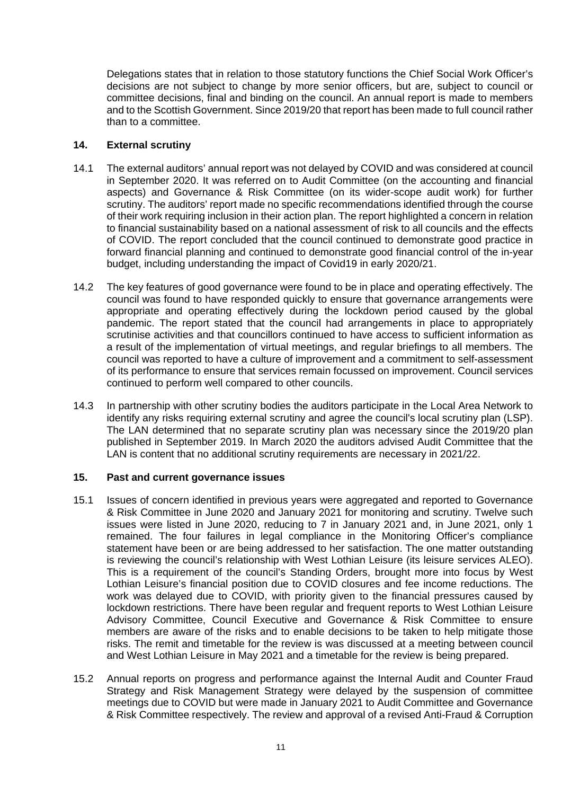Delegations states that in relation to those statutory functions the Chief Social Work Officer's decisions are not subject to change by more senior officers, but are, subject to council or committee decisions, final and binding on the council. An annual report is made to members and to the Scottish Government. Since 2019/20 that report has been made to full council rather than to a committee.

# **14. External scrutiny**

- 14.1 The external auditors' annual report was not delayed by COVID and was considered at council in September 2020. It was referred on to Audit Committee (on the accounting and financial aspects) and Governance & Risk Committee (on its wider-scope audit work) for further scrutiny. The auditors' report made no specific recommendations identified through the course of their work requiring inclusion in their action plan. The report highlighted a concern in relation to financial sustainability based on a national assessment of risk to all councils and the effects of COVID. The report concluded that the council continued to demonstrate good practice in forward financial planning and continued to demonstrate good financial control of the in-year budget, including understanding the impact of Covid19 in early 2020/21.
- 14.2 The key features of good governance were found to be in place and operating effectively. The council was found to have responded quickly to ensure that governance arrangements were appropriate and operating effectively during the lockdown period caused by the global pandemic. The report stated that the council had arrangements in place to appropriately scrutinise activities and that councillors continued to have access to sufficient information as a result of the implementation of virtual meetings, and regular briefings to all members. The council was reported to have a culture of improvement and a commitment to self-assessment of its performance to ensure that services remain focussed on improvement. Council services continued to perform well compared to other councils.
- 14.3 In partnership with other scrutiny bodies the auditors participate in the Local Area Network to identify any risks requiring external scrutiny and agree the council's local scrutiny plan (LSP). The LAN determined that no separate scrutiny plan was necessary since the 2019/20 plan published in September 2019. In March 2020 the auditors advised Audit Committee that the LAN is content that no additional scrutiny requirements are necessary in 2021/22.

# **15. Past and current governance issues**

- 15.1 Issues of concern identified in previous years were aggregated and reported to Governance & Risk Committee in June 2020 and January 2021 for monitoring and scrutiny. Twelve such issues were listed in June 2020, reducing to 7 in January 2021 and, in June 2021, only 1 remained. The four failures in legal compliance in the Monitoring Officer's compliance statement have been or are being addressed to her satisfaction. The one matter outstanding is reviewing the council's relationship with West Lothian Leisure (its leisure services ALEO). This is a requirement of the council's Standing Orders, brought more into focus by West Lothian Leisure's financial position due to COVID closures and fee income reductions. The work was delayed due to COVID, with priority given to the financial pressures caused by lockdown restrictions. There have been regular and frequent reports to West Lothian Leisure Advisory Committee, Council Executive and Governance & Risk Committee to ensure members are aware of the risks and to enable decisions to be taken to help mitigate those risks. The remit and timetable for the review is was discussed at a meeting between council and West Lothian Leisure in May 2021 and a timetable for the review is being prepared.
- 15.2 Annual reports on progress and performance against the Internal Audit and Counter Fraud Strategy and Risk Management Strategy were delayed by the suspension of committee meetings due to COVID but were made in January 2021 to Audit Committee and Governance & Risk Committee respectively. The review and approval of a revised Anti-Fraud & Corruption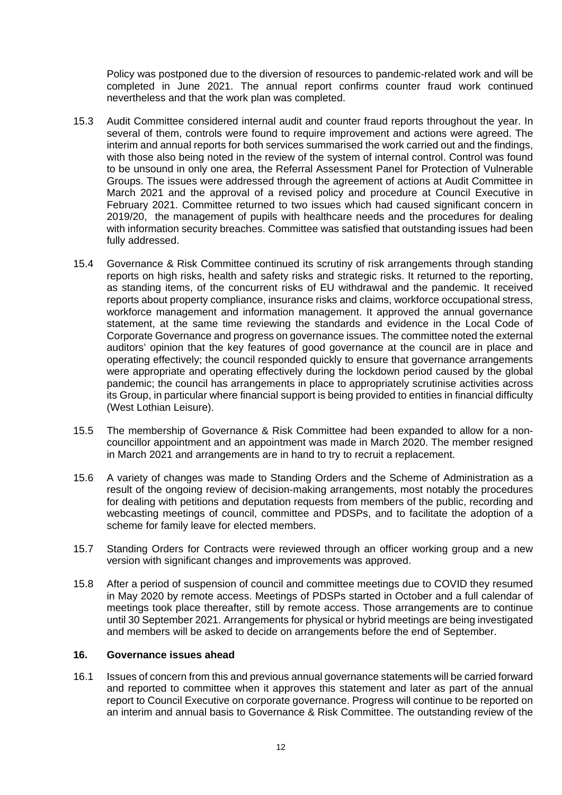Policy was postponed due to the diversion of resources to pandemic-related work and will be completed in June 2021. The annual report confirms counter fraud work continued nevertheless and that the work plan was completed.

- 15.3 Audit Committee considered internal audit and counter fraud reports throughout the year. In several of them, controls were found to require improvement and actions were agreed. The interim and annual reports for both services summarised the work carried out and the findings, with those also being noted in the review of the system of internal control. Control was found to be unsound in only one area, the Referral Assessment Panel for Protection of Vulnerable Groups. The issues were addressed through the agreement of actions at Audit Committee in March 2021 and the approval of a revised policy and procedure at Council Executive in February 2021. Committee returned to two issues which had caused significant concern in 2019/20, the management of pupils with healthcare needs and the procedures for dealing with information security breaches. Committee was satisfied that outstanding issues had been fully addressed.
- 15.4 Governance & Risk Committee continued its scrutiny of risk arrangements through standing reports on high risks, health and safety risks and strategic risks. It returned to the reporting, as standing items, of the concurrent risks of EU withdrawal and the pandemic. It received reports about property compliance, insurance risks and claims, workforce occupational stress, workforce management and information management. It approved the annual governance statement, at the same time reviewing the standards and evidence in the Local Code of Corporate Governance and progress on governance issues. The committee noted the external auditors' opinion that the key features of good governance at the council are in place and operating effectively; the council responded quickly to ensure that governance arrangements were appropriate and operating effectively during the lockdown period caused by the global pandemic; the council has arrangements in place to appropriately scrutinise activities across its Group, in particular where financial support is being provided to entities in financial difficulty (West Lothian Leisure).
- 15.5 The membership of Governance & Risk Committee had been expanded to allow for a noncouncillor appointment and an appointment was made in March 2020. The member resigned in March 2021 and arrangements are in hand to try to recruit a replacement.
- 15.6 A variety of changes was made to Standing Orders and the Scheme of Administration as a result of the ongoing review of decision-making arrangements, most notably the procedures for dealing with petitions and deputation requests from members of the public, recording and webcasting meetings of council, committee and PDSPs, and to facilitate the adoption of a scheme for family leave for elected members.
- 15.7 Standing Orders for Contracts were reviewed through an officer working group and a new version with significant changes and improvements was approved.
- 15.8 After a period of suspension of council and committee meetings due to COVID they resumed in May 2020 by remote access. Meetings of PDSPs started in October and a full calendar of meetings took place thereafter, still by remote access. Those arrangements are to continue until 30 September 2021. Arrangements for physical or hybrid meetings are being investigated and members will be asked to decide on arrangements before the end of September.

#### **16. Governance issues ahead**

16.1 Issues of concern from this and previous annual governance statements will be carried forward and reported to committee when it approves this statement and later as part of the annual report to Council Executive on corporate governance. Progress will continue to be reported on an interim and annual basis to Governance & Risk Committee. The outstanding review of the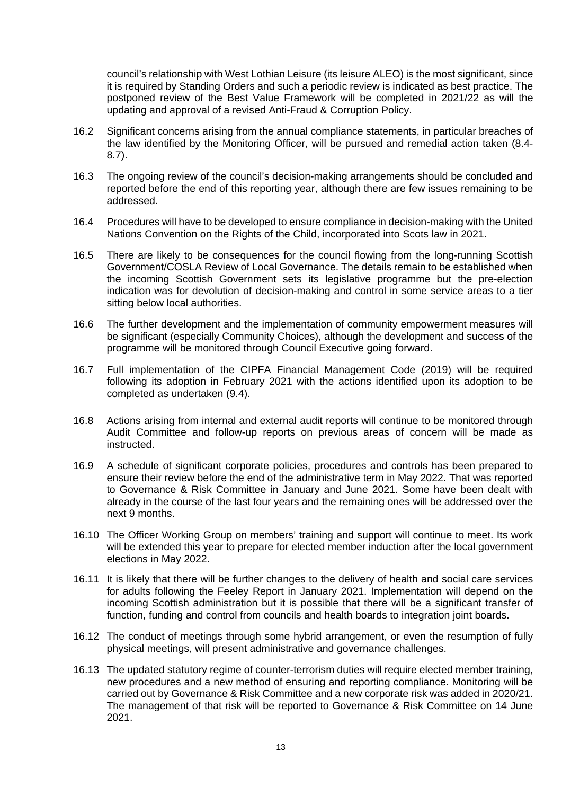council's relationship with West Lothian Leisure (its leisure ALEO) is the most significant, since it is required by Standing Orders and such a periodic review is indicated as best practice. The postponed review of the Best Value Framework will be completed in 2021/22 as will the updating and approval of a revised Anti-Fraud & Corruption Policy.

- 16.2 Significant concerns arising from the annual compliance statements, in particular breaches of the law identified by the Monitoring Officer, will be pursued and remedial action taken (8.4- 8.7).
- 16.3 The ongoing review of the council's decision-making arrangements should be concluded and reported before the end of this reporting year, although there are few issues remaining to be addressed.
- 16.4 Procedures will have to be developed to ensure compliance in decision-making with the United Nations Convention on the Rights of the Child, incorporated into Scots law in 2021.
- 16.5 There are likely to be consequences for the council flowing from the long-running Scottish Government/COSLA Review of Local Governance. The details remain to be established when the incoming Scottish Government sets its legislative programme but the pre-election indication was for devolution of decision-making and control in some service areas to a tier sitting below local authorities.
- 16.6 The further development and the implementation of community empowerment measures will be significant (especially Community Choices), although the development and success of the programme will be monitored through Council Executive going forward.
- 16.7 Full implementation of the CIPFA Financial Management Code (2019) will be required following its adoption in February 2021 with the actions identified upon its adoption to be completed as undertaken (9.4).
- 16.8 Actions arising from internal and external audit reports will continue to be monitored through Audit Committee and follow-up reports on previous areas of concern will be made as instructed.
- 16.9 A schedule of significant corporate policies, procedures and controls has been prepared to ensure their review before the end of the administrative term in May 2022. That was reported to Governance & Risk Committee in January and June 2021. Some have been dealt with already in the course of the last four years and the remaining ones will be addressed over the next 9 months.
- 16.10 The Officer Working Group on members' training and support will continue to meet. Its work will be extended this year to prepare for elected member induction after the local government elections in May 2022.
- 16.11 It is likely that there will be further changes to the delivery of health and social care services for adults following the Feeley Report in January 2021. Implementation will depend on the incoming Scottish administration but it is possible that there will be a significant transfer of function, funding and control from councils and health boards to integration joint boards.
- 16.12 The conduct of meetings through some hybrid arrangement, or even the resumption of fully physical meetings, will present administrative and governance challenges.
- 16.13 The updated statutory regime of counter-terrorism duties will require elected member training, new procedures and a new method of ensuring and reporting compliance. Monitoring will be carried out by Governance & Risk Committee and a new corporate risk was added in 2020/21. The management of that risk will be reported to Governance & Risk Committee on 14 June 2021.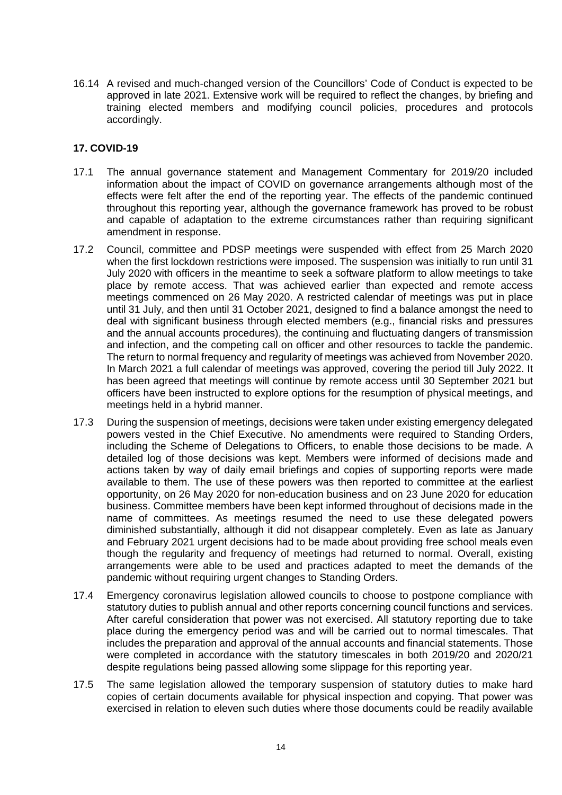16.14 A revised and much-changed version of the Councillors' Code of Conduct is expected to be approved in late 2021. Extensive work will be required to reflect the changes, by briefing and training elected members and modifying council policies, procedures and protocols accordingly.

# **17. COVID-19**

- 17.1 The annual governance statement and Management Commentary for 2019/20 included information about the impact of COVID on governance arrangements although most of the effects were felt after the end of the reporting year. The effects of the pandemic continued throughout this reporting year, although the governance framework has proved to be robust and capable of adaptation to the extreme circumstances rather than requiring significant amendment in response.
- 17.2 Council, committee and PDSP meetings were suspended with effect from 25 March 2020 when the first lockdown restrictions were imposed. The suspension was initially to run until 31 July 2020 with officers in the meantime to seek a software platform to allow meetings to take place by remote access. That was achieved earlier than expected and remote access meetings commenced on 26 May 2020. A restricted calendar of meetings was put in place until 31 July, and then until 31 October 2021, designed to find a balance amongst the need to deal with significant business through elected members (e.g., financial risks and pressures and the annual accounts procedures), the continuing and fluctuating dangers of transmission and infection, and the competing call on officer and other resources to tackle the pandemic. The return to normal frequency and regularity of meetings was achieved from November 2020. In March 2021 a full calendar of meetings was approved, covering the period till July 2022. It has been agreed that meetings will continue by remote access until 30 September 2021 but officers have been instructed to explore options for the resumption of physical meetings, and meetings held in a hybrid manner.
- 17.3 During the suspension of meetings, decisions were taken under existing emergency delegated powers vested in the Chief Executive. No amendments were required to Standing Orders, including the Scheme of Delegations to Officers, to enable those decisions to be made. A detailed log of those decisions was kept. Members were informed of decisions made and actions taken by way of daily email briefings and copies of supporting reports were made available to them. The use of these powers was then reported to committee at the earliest opportunity, on 26 May 2020 for non-education business and on 23 June 2020 for education business. Committee members have been kept informed throughout of decisions made in the name of committees. As meetings resumed the need to use these delegated powers diminished substantially, although it did not disappear completely. Even as late as January and February 2021 urgent decisions had to be made about providing free school meals even though the regularity and frequency of meetings had returned to normal. Overall, existing arrangements were able to be used and practices adapted to meet the demands of the pandemic without requiring urgent changes to Standing Orders.
- 17.4 Emergency coronavirus legislation allowed councils to choose to postpone compliance with statutory duties to publish annual and other reports concerning council functions and services. After careful consideration that power was not exercised. All statutory reporting due to take place during the emergency period was and will be carried out to normal timescales. That includes the preparation and approval of the annual accounts and financial statements. Those were completed in accordance with the statutory timescales in both 2019/20 and 2020/21 despite regulations being passed allowing some slippage for this reporting year.
- 17.5 The same legislation allowed the temporary suspension of statutory duties to make hard copies of certain documents available for physical inspection and copying. That power was exercised in relation to eleven such duties where those documents could be readily available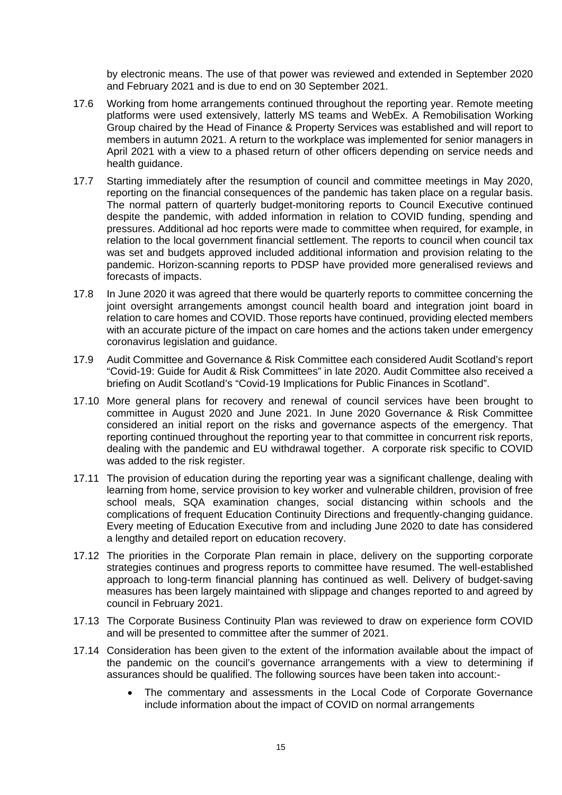by electronic means. The use of that power was reviewed and extended in September 2020 and February 2021 and is due to end on 30 September 2021.

- 17.6 Working from home arrangements continued throughout the reporting year. Remote meeting platforms were used extensively, latterly MS teams and WebEx. A Remobilisation Working Group chaired by the Head of Finance & Property Services was established and will report to members in autumn 2021. A return to the workplace was implemented for senior managers in April 2021 with a view to a phased return of other officers depending on service needs and health guidance.
- 17.7 Starting immediately after the resumption of council and committee meetings in May 2020, reporting on the financial consequences of the pandemic has taken place on a regular basis. The normal pattern of quarterly budget-monitoring reports to Council Executive continued despite the pandemic, with added information in relation to COVID funding, spending and pressures. Additional ad hoc reports were made to committee when required, for example, in relation to the local government financial settlement. The reports to council when council tax was set and budgets approved included additional information and provision relating to the pandemic. Horizon-scanning reports to PDSP have provided more generalised reviews and forecasts of impacts.
- 17.8 In June 2020 it was agreed that there would be quarterly reports to committee concerning the joint oversight arrangements amongst council health board and integration joint board in relation to care homes and COVID. Those reports have continued, providing elected members with an accurate picture of the impact on care homes and the actions taken under emergency coronavirus legislation and guidance.
- 17.9 Audit Committee and Governance & Risk Committee each considered Audit Scotland's report "Covid-19: Guide for Audit & Risk Committees" in late 2020. Audit Committee also received a briefing on Audit Scotland's "Covid-19 Implications for Public Finances in Scotland".
- 17.10 More general plans for recovery and renewal of council services have been brought to committee in August 2020 and June 2021. In June 2020 Governance & Risk Committee considered an initial report on the risks and governance aspects of the emergency. That reporting continued throughout the reporting year to that committee in concurrent risk reports, dealing with the pandemic and EU withdrawal together. A corporate risk specific to COVID was added to the risk register.
- 17.11 The provision of education during the reporting year was a significant challenge, dealing with learning from home, service provision to key worker and vulnerable children, provision of free school meals, SQA examination changes, social distancing within schools and the complications of frequent Education Continuity Directions and frequently-changing guidance. Every meeting of Education Executive from and including June 2020 to date has considered a lengthy and detailed report on education recovery.
- 17.12 The priorities in the Corporate Plan remain in place, delivery on the supporting corporate strategies continues and progress reports to committee have resumed. The well-established approach to long-term financial planning has continued as well. Delivery of budget-saving measures has been largely maintained with slippage and changes reported to and agreed by council in February 2021.
- 17.13 The Corporate Business Continuity Plan was reviewed to draw on experience form COVID and will be presented to committee after the summer of 2021.
- 17.14 Consideration has been given to the extent of the information available about the impact of the pandemic on the council's governance arrangements with a view to determining if assurances should be qualified. The following sources have been taken into account:-
	- The commentary and assessments in the Local Code of Corporate Governance include information about the impact of COVID on normal arrangements